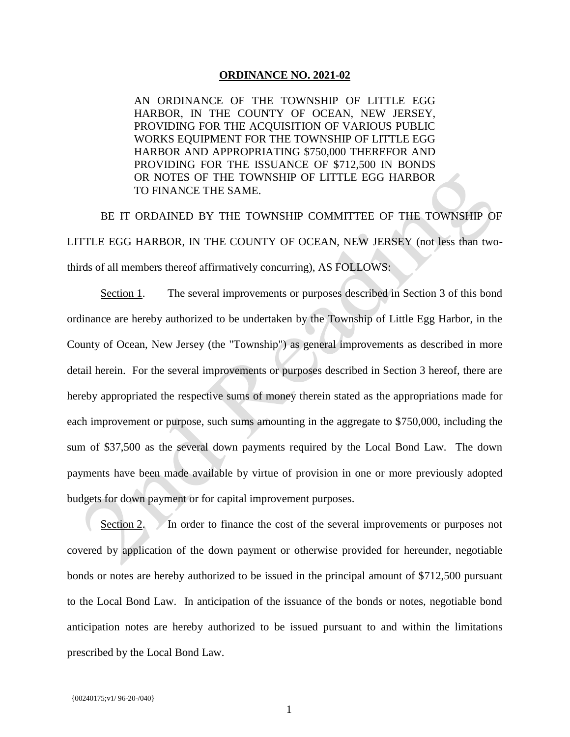## **ORDINANCE NO. 2021-02**

AN ORDINANCE OF THE TOWNSHIP OF LITTLE EGG HARBOR, IN THE COUNTY OF OCEAN, NEW JERSEY, PROVIDING FOR THE ACQUISITION OF VARIOUS PUBLIC WORKS EQUIPMENT FOR THE TOWNSHIP OF LITTLE EGG HARBOR AND APPROPRIATING \$750,000 THEREFOR AND PROVIDING FOR THE ISSUANCE OF \$712,500 IN BONDS OR NOTES OF THE TOWNSHIP OF LITTLE EGG HARBOR TO FINANCE THE SAME.

BE IT ORDAINED BY THE TOWNSHIP COMMITTEE OF THE TOWNSHIP OF LITTLE EGG HARBOR, IN THE COUNTY OF OCEAN, NEW JERSEY (not less than twothirds of all members thereof affirmatively concurring), AS FOLLOWS:

Section 1. The several improvements or purposes described in Section 3 of this bond ordinance are hereby authorized to be undertaken by the Township of Little Egg Harbor, in the County of Ocean, New Jersey (the "Township") as general improvements as described in more detail herein. For the several improvements or purposes described in Section 3 hereof, there are hereby appropriated the respective sums of money therein stated as the appropriations made for each improvement or purpose, such sums amounting in the aggregate to \$750,000, including the sum of \$37,500 as the several down payments required by the Local Bond Law. The down payments have been made available by virtue of provision in one or more previously adopted budgets for down payment or for capital improvement purposes.

Section 2. In order to finance the cost of the several improvements or purposes not covered by application of the down payment or otherwise provided for hereunder, negotiable bonds or notes are hereby authorized to be issued in the principal amount of \$712,500 pursuant to the Local Bond Law. In anticipation of the issuance of the bonds or notes, negotiable bond anticipation notes are hereby authorized to be issued pursuant to and within the limitations prescribed by the Local Bond Law.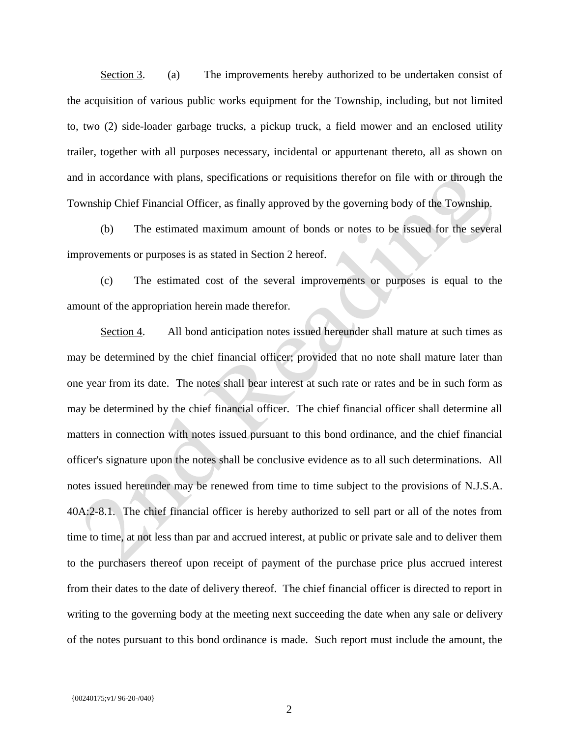Section 3. (a) The improvements hereby authorized to be undertaken consist of the acquisition of various public works equipment for the Township, including, but not limited to, two (2) side-loader garbage trucks, a pickup truck, a field mower and an enclosed utility trailer, together with all purposes necessary, incidental or appurtenant thereto, all as shown on and in accordance with plans, specifications or requisitions therefor on file with or through the Township Chief Financial Officer, as finally approved by the governing body of the Township.

(b) The estimated maximum amount of bonds or notes to be issued for the several improvements or purposes is as stated in Section 2 hereof.

(c) The estimated cost of the several improvements or purposes is equal to the amount of the appropriation herein made therefor.

Section 4. All bond anticipation notes issued hereunder shall mature at such times as may be determined by the chief financial officer; provided that no note shall mature later than one year from its date. The notes shall bear interest at such rate or rates and be in such form as may be determined by the chief financial officer. The chief financial officer shall determine all matters in connection with notes issued pursuant to this bond ordinance, and the chief financial officer's signature upon the notes shall be conclusive evidence as to all such determinations. All notes issued hereunder may be renewed from time to time subject to the provisions of N.J.S.A. 40A:2-8.1. The chief financial officer is hereby authorized to sell part or all of the notes from time to time, at not less than par and accrued interest, at public or private sale and to deliver them to the purchasers thereof upon receipt of payment of the purchase price plus accrued interest from their dates to the date of delivery thereof. The chief financial officer is directed to report in writing to the governing body at the meeting next succeeding the date when any sale or delivery of the notes pursuant to this bond ordinance is made. Such report must include the amount, the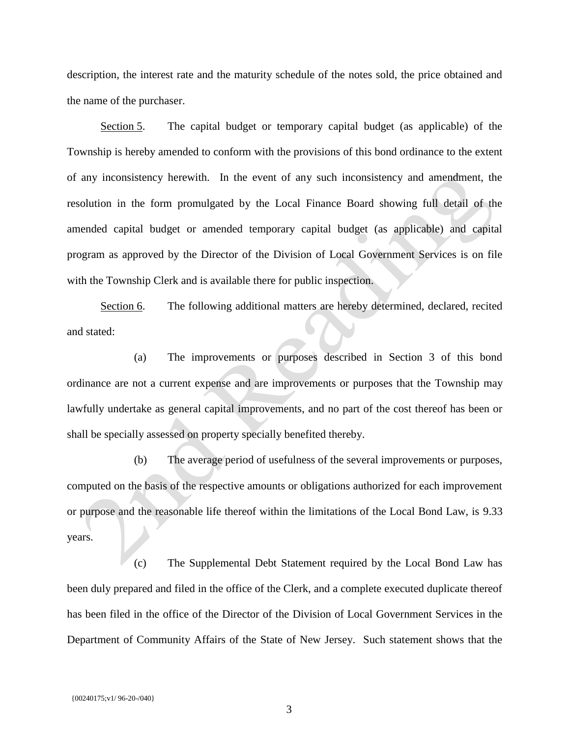description, the interest rate and the maturity schedule of the notes sold, the price obtained and the name of the purchaser.

Section 5. The capital budget or temporary capital budget (as applicable) of the Township is hereby amended to conform with the provisions of this bond ordinance to the extent of any inconsistency herewith. In the event of any such inconsistency and amendment, the resolution in the form promulgated by the Local Finance Board showing full detail of the amended capital budget or amended temporary capital budget (as applicable) and capital program as approved by the Director of the Division of Local Government Services is on file with the Township Clerk and is available there for public inspection.

Section 6. The following additional matters are hereby determined, declared, recited and stated:

(a) The improvements or purposes described in Section 3 of this bond ordinance are not a current expense and are improvements or purposes that the Township may lawfully undertake as general capital improvements, and no part of the cost thereof has been or shall be specially assessed on property specially benefited thereby.

(b) The average period of usefulness of the several improvements or purposes, computed on the basis of the respective amounts or obligations authorized for each improvement or purpose and the reasonable life thereof within the limitations of the Local Bond Law, is 9.33 years.

(c) The Supplemental Debt Statement required by the Local Bond Law has been duly prepared and filed in the office of the Clerk, and a complete executed duplicate thereof has been filed in the office of the Director of the Division of Local Government Services in the Department of Community Affairs of the State of New Jersey. Such statement shows that the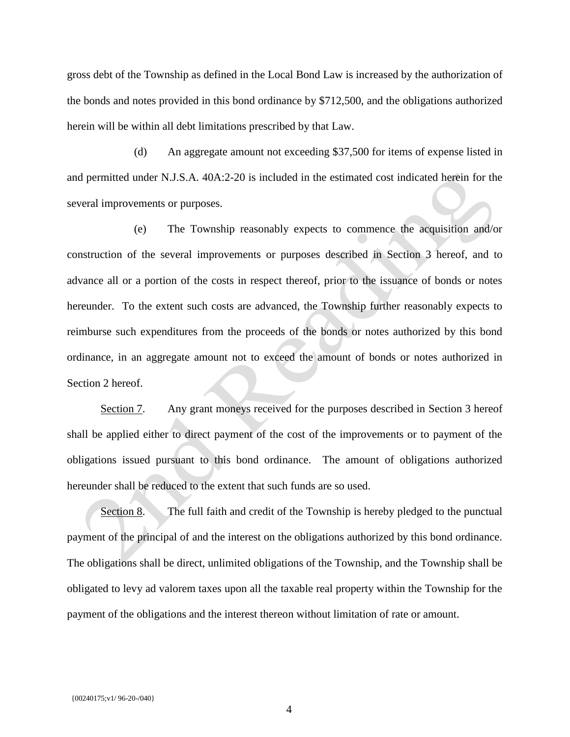gross debt of the Township as defined in the Local Bond Law is increased by the authorization of the bonds and notes provided in this bond ordinance by \$712,500, and the obligations authorized herein will be within all debt limitations prescribed by that Law.

(d) An aggregate amount not exceeding \$37,500 for items of expense listed in and permitted under N.J.S.A. 40A:2-20 is included in the estimated cost indicated herein for the several improvements or purposes.

(e) The Township reasonably expects to commence the acquisition and/or construction of the several improvements or purposes described in Section 3 hereof, and to advance all or a portion of the costs in respect thereof, prior to the issuance of bonds or notes hereunder. To the extent such costs are advanced, the Township further reasonably expects to reimburse such expenditures from the proceeds of the bonds or notes authorized by this bond ordinance, in an aggregate amount not to exceed the amount of bonds or notes authorized in Section 2 hereof.

Section 7. Any grant moneys received for the purposes described in Section 3 hereof shall be applied either to direct payment of the cost of the improvements or to payment of the obligations issued pursuant to this bond ordinance. The amount of obligations authorized hereunder shall be reduced to the extent that such funds are so used.

Section 8. The full faith and credit of the Township is hereby pledged to the punctual payment of the principal of and the interest on the obligations authorized by this bond ordinance. The obligations shall be direct, unlimited obligations of the Township, and the Township shall be obligated to levy ad valorem taxes upon all the taxable real property within the Township for the payment of the obligations and the interest thereon without limitation of rate or amount.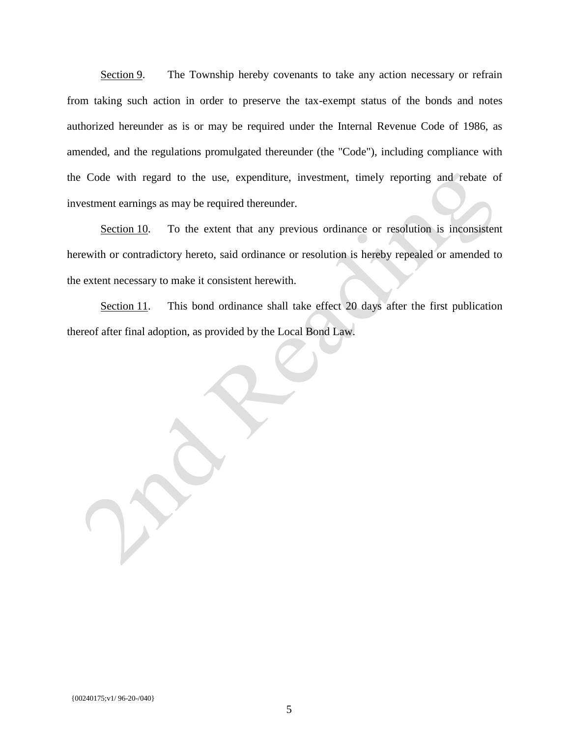Section 9. The Township hereby covenants to take any action necessary or refrain from taking such action in order to preserve the tax-exempt status of the bonds and notes authorized hereunder as is or may be required under the Internal Revenue Code of 1986, as amended, and the regulations promulgated thereunder (the "Code"), including compliance with the Code with regard to the use, expenditure, investment, timely reporting and rebate of investment earnings as may be required thereunder.

Section 10. To the extent that any previous ordinance or resolution is inconsistent herewith or contradictory hereto, said ordinance or resolution is hereby repealed or amended to the extent necessary to make it consistent herewith.

Section 11. This bond ordinance shall take effect 20 days after the first publication thereof after final adoption, as provided by the Local Bond Law.